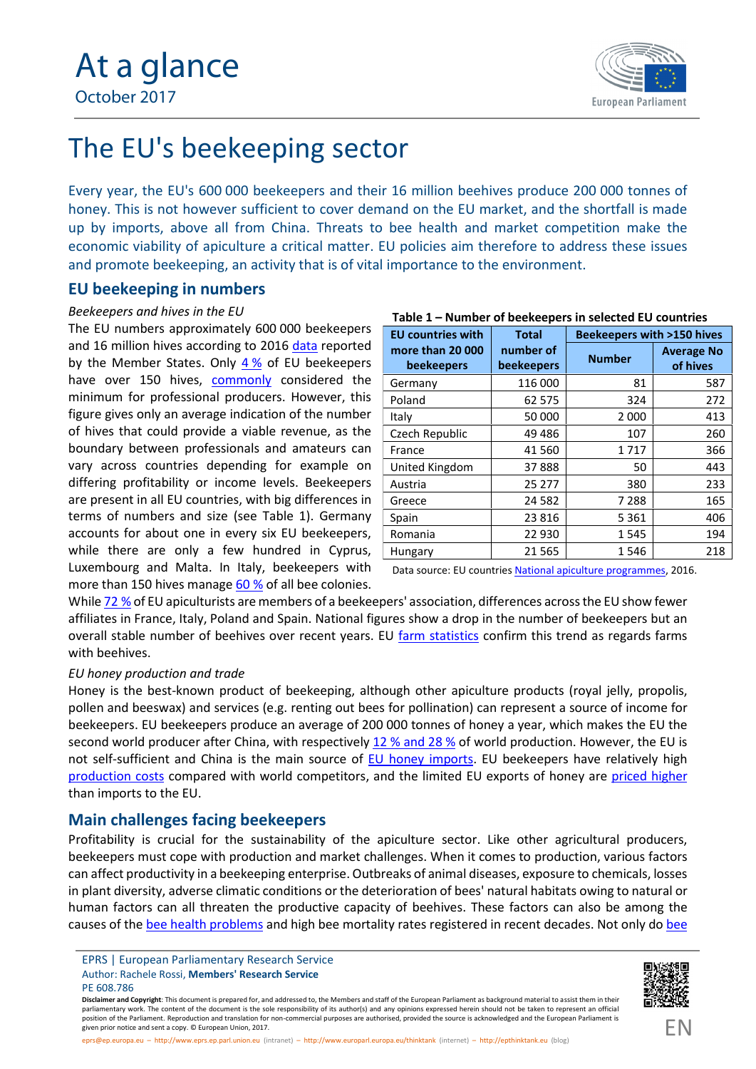

# The EU's beekeeping sector

Every year, the EU's 600 000 beekeepers and their 16 million beehives produce 200 000 tonnes of honey. This is not however sufficient to cover demand on the EU market, and the shortfall is made up by imports, above all from China. Threats to bee health and market competition make the economic viability of apiculture a critical matter. EU policies aim therefore to address these issues and promote beekeeping, an activity that is of vital importance to the environment.

# **EU beekeeping in numbers**

## *Beekeepers and hives in the EU*

The EU numbers approximately 600 000 beekeepers and 16 million hives according to 2016 [data](https://ec.europa.eu/agriculture/honey/programmes/national-apiculture_en) reported by the Member States. Only  $4\%$  $4\%$  of EU beekeepers have over 150 hives, [commonly](http://eur-lex.europa.eu/legal-content/EN/TXT/PDF/?uri=CELEX:52016DC0776&from=EN) considered the minimum for professional producers. However, this figure gives only an average indication of the number of hives that could provide a viable revenue, as the boundary between professionals and amateurs can vary across countries depending for example on differing profitability or income levels. Beekeepers are present in all EU countries, with big differences in terms of numbers and size (see Table 1). Germany accounts for about one in every six EU beekeepers, while there are only a few hundred in Cyprus, Luxembourg and Malta. In Italy, beekeepers with more than 150 hives manage [60](https://ec.europa.eu/agriculture/sites/agriculture/files/honey/programmes/national-apiculture/nap-it_it.pdf) % of all bee colonies.

| rable I – Number of beekeepers in selected EO countries |                                |                                      |                               |
|---------------------------------------------------------|--------------------------------|--------------------------------------|-------------------------------|
| <b>EU countries with</b>                                | <b>Total</b>                   | <b>Beekeepers with &gt;150 hives</b> |                               |
| more than 20 000<br><b>beekeepers</b>                   | number of<br><b>beekeepers</b> | <b>Number</b>                        | <b>Average No</b><br>of hives |
| Germany                                                 | 116 000                        | 81                                   | 587                           |
| Poland                                                  | 62 575                         | 324                                  | 272                           |
| Italy                                                   | 50 000                         | 2 0 0 0                              | 413                           |
| Czech Republic                                          | 49 4 86                        | 107                                  | 260                           |
| France                                                  | 41 560                         | 1717                                 | 366                           |
| United Kingdom                                          | 37888                          | 50                                   | 443                           |
| Austria                                                 | 25 277                         | 380                                  | 233                           |
| Greece                                                  | 24 5 82                        | 7 288                                | 165                           |
| Spain                                                   | 23 8 16                        | 5 3 6 1                              | 406                           |
| Romania                                                 | 22 930                         | 1545                                 | 194                           |
| Hungary                                                 | 21 5 65                        | 1546                                 | 218                           |

## **Table 1 – Number of beekeepers in selected EU countries**

Data source: EU countries [National apiculture programmes](https://ec.europa.eu/agriculture/honey/programmes/national-apiculture_en), 2016.

While [72](https://ec.europa.eu/agriculture/sites/agriculture/files/honey/programmes/programmes_en.pdf) % of EU apiculturists are members of a beekeepers' association, differences across the EU show fewer affiliates in France, Italy, Poland and Spain. National figures show a drop in the number of beekeepers but an overall stable number of beehives over recent years. EU [farm statistics](http://appsso.eurostat.ec.europa.eu/nui/show.do?query=BOOKMARK_DS-256623_QID_-18A94D71_UID_-3F171EB0&layout=INDIC_EF,L,X,0;TIME,C,X,1;GEO,L,Y,0;SO_EUR,L,Z,0;INDICATORS,C,Z,1;&zSelection=DS-256623INDICATORS,OBS_FLAG;DS-256623SO_EUR,TOTAL;&rankName1=SO-EUR_1_2_-1_2&rankName2=INDICATORS_1_2_-1_2&rankName3=INDIC-EF_1_2_0_0&rankName4=TIME_1_0_1_0&rankName5=GEO_1_2_0_1&rStp=&cStp=&rDCh=&cDCh=&rDM=true&cDM=true&footnes=false&empty=false&wai=false&time_mode=ROLLING&time_most_recent=false&lang=EN&cfo=%23%23%23%2C%23%23%23.%23%23%23) confirm this trend as regards farms with beehives.

## *EU honey production and trade*

Honey is the best-known product of beekeeping, although other apiculture products (royal jelly, propolis, pollen and beeswax) and services (e.g. renting out bees for pollination) can represent a source of income for beekeepers. EU beekeepers produce an average of 200 000 tonnes of honey a year, which makes the EU the second world producer after China, with respectively 12 [% and 28](https://ec.europa.eu/agriculture/sites/agriculture/files/honey/market-presentation-honey_en.pdf) % of world production. However, the EU is not self-sufficient and China is the main source of EU honey [imports.](https://ec.europa.eu/agriculture/honey_en) EU beekeepers have relatively high [production costs](https://ec.europa.eu/agriculture/sites/agriculture/files/honey/programmes/programmes_en.pdf) compared with world competitors, and the limited EU exports of honey are [priced higher](https://ec.europa.eu/agriculture/sites/agriculture/files/honey/market-presentation-honey_en.pdf) than imports to the EU.

# **Main challenges facing beekeepers**

Profitability is crucial for the sustainability of the apiculture sector. Like other agricultural producers, beekeepers must cope with production and market challenges. When it comes to production, various factors can affect productivity in a beekeeping enterprise. Outbreaks of animal diseases, exposure to chemicals, losses in plant diversity, adverse climatic conditions or the deterioration of bees' natural habitats owing to natural or human factors can all threaten the productive capacity of beehives. These factors can also be among the causes of the bee [health problem](http://www.europarl.europa.eu/RegData/bibliotheque/briefing/2014/140792/LDM_BRI(2014)140792_REV1_FR.pdf)s and high bee mortality rates registered in recent decades. Not only do [bee](https://ec.europa.eu/food/animals/live_animals/bees/study_on_mortality_en)

**Disclaimer and Copyright**: This document is prepared for, and addressed to, the Members and staff of the European Parliament as background material to assist them in their parliamentary work. The content of the document is the sole responsibility of its author(s) and any opinions expressed herein should not be taken to represent an official position of the Parliament. Reproduction and translation for non-commercial purposes are authorised, provided the source is acknowledged and the European Parliament is given prior notice and sent a copy. © European Union, 2017.



EPRS | European Parliamentary Research Service Author: Rachele Rossi, **Members' Research Service** PE 608.786